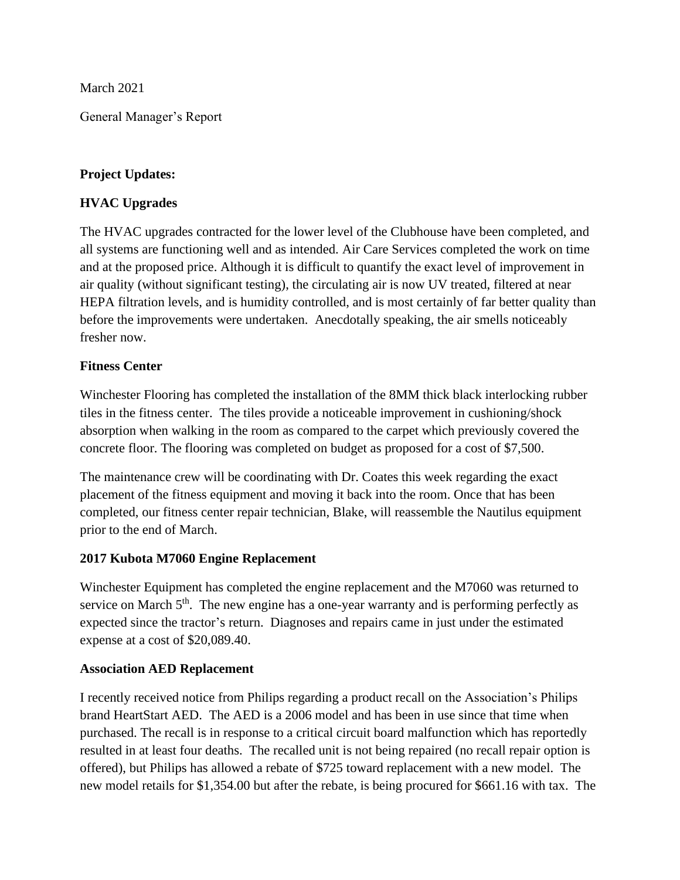March 2021

General Manager's Report

# **Project Updates:**

# **HVAC Upgrades**

The HVAC upgrades contracted for the lower level of the Clubhouse have been completed, and all systems are functioning well and as intended. Air Care Services completed the work on time and at the proposed price. Although it is difficult to quantify the exact level of improvement in air quality (without significant testing), the circulating air is now UV treated, filtered at near HEPA filtration levels, and is humidity controlled, and is most certainly of far better quality than before the improvements were undertaken. Anecdotally speaking, the air smells noticeably fresher now.

# **Fitness Center**

Winchester Flooring has completed the installation of the 8MM thick black interlocking rubber tiles in the fitness center. The tiles provide a noticeable improvement in cushioning/shock absorption when walking in the room as compared to the carpet which previously covered the concrete floor. The flooring was completed on budget as proposed for a cost of \$7,500.

The maintenance crew will be coordinating with Dr. Coates this week regarding the exact placement of the fitness equipment and moving it back into the room. Once that has been completed, our fitness center repair technician, Blake, will reassemble the Nautilus equipment prior to the end of March.

## **2017 Kubota M7060 Engine Replacement**

Winchester Equipment has completed the engine replacement and the M7060 was returned to service on March 5<sup>th</sup>. The new engine has a one-year warranty and is performing perfectly as expected since the tractor's return. Diagnoses and repairs came in just under the estimated expense at a cost of \$20,089.40.

# **Association AED Replacement**

I recently received notice from Philips regarding a product recall on the Association's Philips brand HeartStart AED. The AED is a 2006 model and has been in use since that time when purchased. The recall is in response to a critical circuit board malfunction which has reportedly resulted in at least four deaths. The recalled unit is not being repaired (no recall repair option is offered), but Philips has allowed a rebate of \$725 toward replacement with a new model. The new model retails for \$1,354.00 but after the rebate, is being procured for \$661.16 with tax. The